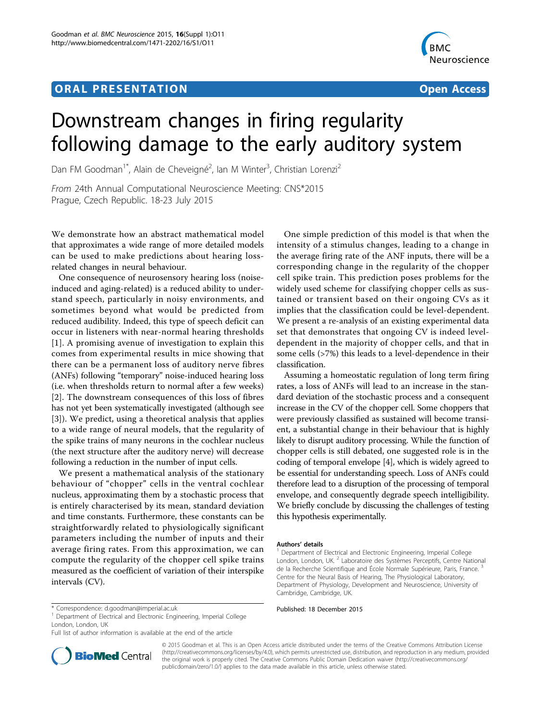## **ORAL PRESENTATION OPEN ACCESS**



# Downstream changes in firing regularity following damage to the early auditory system

Dan FM Goodman<sup>1\*</sup>, Alain de Cheveigné<sup>2</sup>, Ian M Winter<sup>3</sup>, Christian Lorenzi<sup>2</sup>

From 24th Annual Computational Neuroscience Meeting: CNS\*2015 Prague, Czech Republic. 18-23 July 2015

We demonstrate how an abstract mathematical model that approximates a wide range of more detailed models can be used to make predictions about hearing lossrelated changes in neural behaviour.

One consequence of neurosensory hearing loss (noiseinduced and aging-related) is a reduced ability to understand speech, particularly in noisy environments, and sometimes beyond what would be predicted from reduced audibility. Indeed, this type of speech deficit can occur in listeners with near-normal hearing thresholds [[1](#page-1-0)]. A promising avenue of investigation to explain this comes from experimental results in mice showing that there can be a permanent loss of auditory nerve fibres (ANFs) following "temporary" noise-induced hearing loss (i.e. when thresholds return to normal after a few weeks) [[2](#page-1-0)]. The downstream consequences of this loss of fibres has not yet been systematically investigated (although see [[3\]](#page-1-0)). We predict, using a theoretical analysis that applies to a wide range of neural models, that the regularity of the spike trains of many neurons in the cochlear nucleus (the next structure after the auditory nerve) will decrease following a reduction in the number of input cells.

We present a mathematical analysis of the stationary behaviour of "chopper" cells in the ventral cochlear nucleus, approximating them by a stochastic process that is entirely characterised by its mean, standard deviation and time constants. Furthermore, these constants can be straightforwardly related to physiologically significant parameters including the number of inputs and their average firing rates. From this approximation, we can compute the regularity of the chopper cell spike trains measured as the coefficient of variation of their interspike intervals (CV).

\* Correspondence: [d.goodman@imperial.ac.uk](mailto:d.goodman@imperial.ac.uk) and the properial College **Published: 18 December 2015**<br><sup>1</sup> Department of Electrical and Electronic Engineering, Imperial College London, London, UK

Full list of author information is available at the end of the article



chopper cells is still debated, one suggested role is in the coding of temporal envelope [[4\]](#page-1-0), which is widely agreed to be essential for understanding speech. Loss of ANFs could therefore lead to a disruption of the processing of temporal envelope, and consequently degrade speech intelligibility. We briefly conclude by discussing the challenges of testing this hypothesis experimentally.

One simple prediction of this model is that when the intensity of a stimulus changes, leading to a change in the average firing rate of the ANF inputs, there will be a corresponding change in the regularity of the chopper cell spike train. This prediction poses problems for the widely used scheme for classifying chopper cells as sustained or transient based on their ongoing CVs as it implies that the classification could be level-dependent. We present a re-analysis of an existing experimental data set that demonstrates that ongoing CV is indeed leveldependent in the majority of chopper cells, and that in



© 2015 Goodman et al. This is an Open Access article distributed under the terms of the Creative Commons Attribution License [\(http://creativecommons.org/licenses/by/4.0](http://creativecommons.org/licenses/by/4.0)), which permits unrestricted use, distribution, and reproduction in any medium, provided the original work is properly cited. The Creative Commons Public Domain Dedication waiver ([http://creativecommons.org/](http://creativecommons.org/publicdomain/zero/1.0/) [publicdomain/zero/1.0/](http://creativecommons.org/publicdomain/zero/1.0/)) applies to the data made available in this article, unless otherwise stated.

Authors' details<br><sup>1</sup> Department of Electrical and Electronic Engineering, Imperial College London, London, UK.<sup>2</sup> Laboratoire des Systèmes Perceptifs, Centre National de la Recherche Scientifique and École Normale Supérieure, Paris, France. Centre for the Neural Basis of Hearing, The Physiological Laboratory, Department of Physiology, Development and Neuroscience, University of Cambridge, Cambridge, UK.